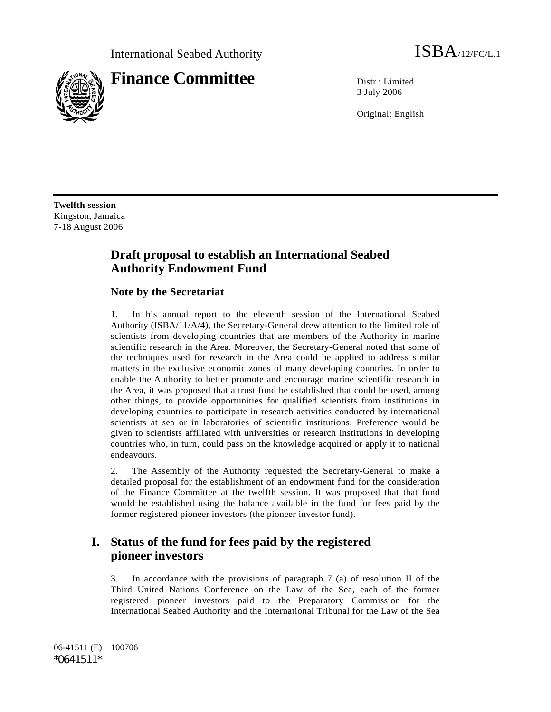

# **Finance Committee** Distriction

3 July 2006

Original: English

**Twelfth session**  Kingston, Jamaica 7-18 August 2006

# **Draft proposal to establish an International Seabed Authority Endowment Fund**

### **Note by the Secretariat**

1. In his annual report to the eleventh session of the International Seabed Authority (ISBA/11/A/4), the Secretary-General drew attention to the limited role of scientists from developing countries that are members of the Authority in marine scientific research in the Area. Moreover, the Secretary-General noted that some of the techniques used for research in the Area could be applied to address similar matters in the exclusive economic zones of many developing countries. In order to enable the Authority to better promote and encourage marine scientific research in the Area, it was proposed that a trust fund be established that could be used, among other things, to provide opportunities for qualified scientists from institutions in developing countries to participate in research activities conducted by international scientists at sea or in laboratories of scientific institutions. Preference would be given to scientists affiliated with universities or research institutions in developing countries who, in turn, could pass on the knowledge acquired or apply it to national endeavours.

2. The Assembly of the Authority requested the Secretary-General to make a detailed proposal for the establishment of an endowment fund for the consideration of the Finance Committee at the twelfth session. It was proposed that that fund would be established using the balance available in the fund for fees paid by the former registered pioneer investors (the pioneer investor fund).

# **I. Status of the fund for fees paid by the registered pioneer investors**

3. In accordance with the provisions of paragraph 7 (a) of resolution II of the Third United Nations Conference on the Law of the Sea, each of the former registered pioneer investors paid to the Preparatory Commission for the International Seabed Authority and the International Tribunal for the Law of the Sea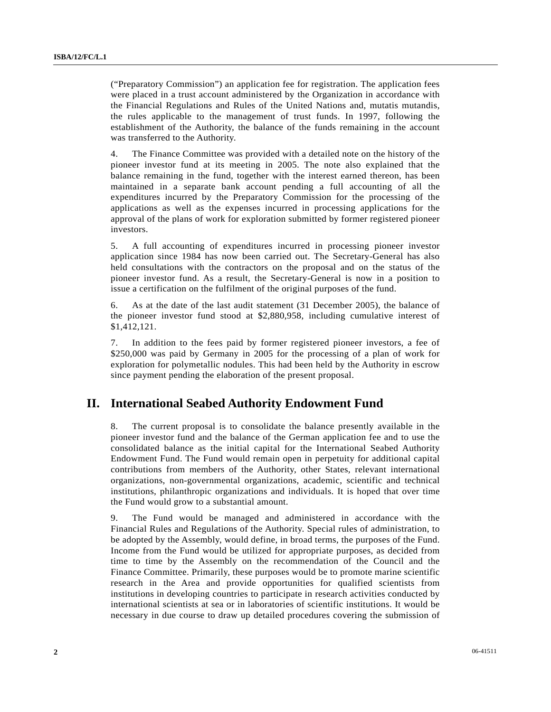("Preparatory Commission") an application fee for registration. The application fees were placed in a trust account administered by the Organization in accordance with the Financial Regulations and Rules of the United Nations and, mutatis mutandis, the rules applicable to the management of trust funds. In 1997, following the establishment of the Authority, the balance of the funds remaining in the account was transferred to the Authority.

4. The Finance Committee was provided with a detailed note on the history of the pioneer investor fund at its meeting in 2005. The note also explained that the balance remaining in the fund, together with the interest earned thereon, has been maintained in a separate bank account pending a full accounting of all the expenditures incurred by the Preparatory Commission for the processing of the applications as well as the expenses incurred in processing applications for the approval of the plans of work for exploration submitted by former registered pioneer investors.

5. A full accounting of expenditures incurred in processing pioneer investor application since 1984 has now been carried out. The Secretary-General has also held consultations with the contractors on the proposal and on the status of the pioneer investor fund. As a result, the Secretary-General is now in a position to issue a certification on the fulfilment of the original purposes of the fund.

6. As at the date of the last audit statement (31 December 2005), the balance of the pioneer investor fund stood at \$2,880,958, including cumulative interest of \$1,412,121.

7. In addition to the fees paid by former registered pioneer investors, a fee of \$250,000 was paid by Germany in 2005 for the processing of a plan of work for exploration for polymetallic nodules. This had been held by the Authority in escrow since payment pending the elaboration of the present proposal.

### **II. International Seabed Authority Endowment Fund**

8. The current proposal is to consolidate the balance presently available in the pioneer investor fund and the balance of the German application fee and to use the consolidated balance as the initial capital for the International Seabed Authority Endowment Fund. The Fund would remain open in perpetuity for additional capital contributions from members of the Authority, other States, relevant international organizations, non-governmental organizations, academic, scientific and technical institutions, philanthropic organizations and individuals. It is hoped that over time the Fund would grow to a substantial amount.

9. The Fund would be managed and administered in accordance with the Financial Rules and Regulations of the Authority. Special rules of administration, to be adopted by the Assembly, would define, in broad terms, the purposes of the Fund. Income from the Fund would be utilized for appropriate purposes, as decided from time to time by the Assembly on the recommendation of the Council and the Finance Committee. Primarily, these purposes would be to promote marine scientific research in the Area and provide opportunities for qualified scientists from institutions in developing countries to participate in research activities conducted by international scientists at sea or in laboratories of scientific institutions. It would be necessary in due course to draw up detailed procedures covering the submission of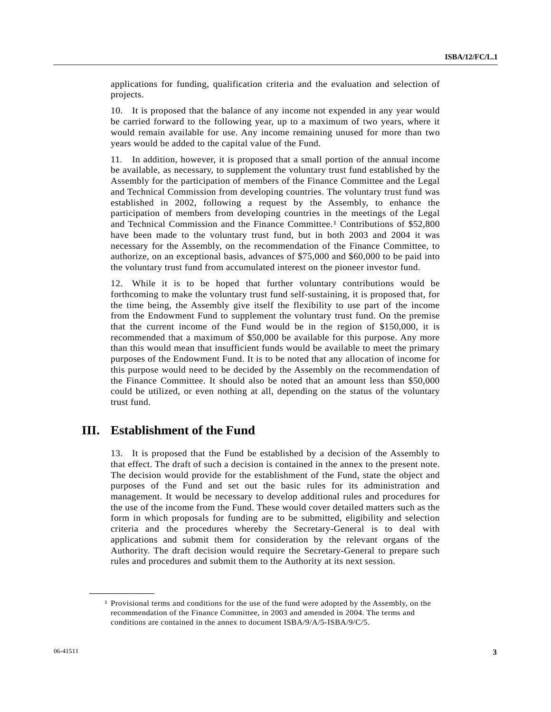applications for funding, qualification criteria and the evaluation and selection of projects.

10. It is proposed that the balance of any income not expended in any year would be carried forward to the following year, up to a maximum of two years, where it would remain available for use. Any income remaining unused for more than two years would be added to the capital value of the Fund.

11. In addition, however, it is proposed that a small portion of the annual income be available, as necessary, to supplement the voluntary trust fund established by the Assembly for the participation of members of the Finance Committee and the Legal and Technical Commission from developing countries. The voluntary trust fund was established in 2002, following a request by the Assembly, to enhance the participation of members from developing countries in the meetings of the Legal and Technical Commission and the Finance Committee.1 Contributions of \$52,800 have been made to the voluntary trust fund, but in both 2003 and 2004 it was necessary for the Assembly, on the recommendation of the Finance Committee, to authorize, on an exceptional basis, advances of \$75,000 and \$60,000 to be paid into the voluntary trust fund from accumulated interest on the pioneer investor fund.

12. While it is to be hoped that further voluntary contributions would be forthcoming to make the voluntary trust fund self-sustaining, it is proposed that, for the time being, the Assembly give itself the flexibility to use part of the income from the Endowment Fund to supplement the voluntary trust fund. On the premise that the current income of the Fund would be in the region of \$150,000, it is recommended that a maximum of \$50,000 be available for this purpose. Any more than this would mean that insufficient funds would be available to meet the primary purposes of the Endowment Fund. It is to be noted that any allocation of income for this purpose would need to be decided by the Assembly on the recommendation of the Finance Committee. It should also be noted that an amount less than \$50,000 could be utilized, or even nothing at all, depending on the status of the voluntary trust fund.

### **III. Establishment of the Fund**

13. It is proposed that the Fund be established by a decision of the Assembly to that effect. The draft of such a decision is contained in the annex to the present note. The decision would provide for the establishment of the Fund, state the object and purposes of the Fund and set out the basic rules for its administration and management. It would be necessary to develop additional rules and procedures for the use of the income from the Fund. These would cover detailed matters such as the form in which proposals for funding are to be submitted, eligibility and selection criteria and the procedures whereby the Secretary-General is to deal with applications and submit them for consideration by the relevant organs of the Authority. The draft decision would require the Secretary-General to prepare such rules and procedures and submit them to the Authority at its next session.

**\_\_\_\_\_\_\_\_\_\_\_\_\_\_\_\_\_\_** 

 $1$  Provisional terms and conditions for the use of the fund were adopted by the Assembly, on the recommendation of the Finance Committee, in 2003 and amended in 2004. The terms and conditions are contained in the annex to document ISBA/9/A/5-ISBA/9/C/5.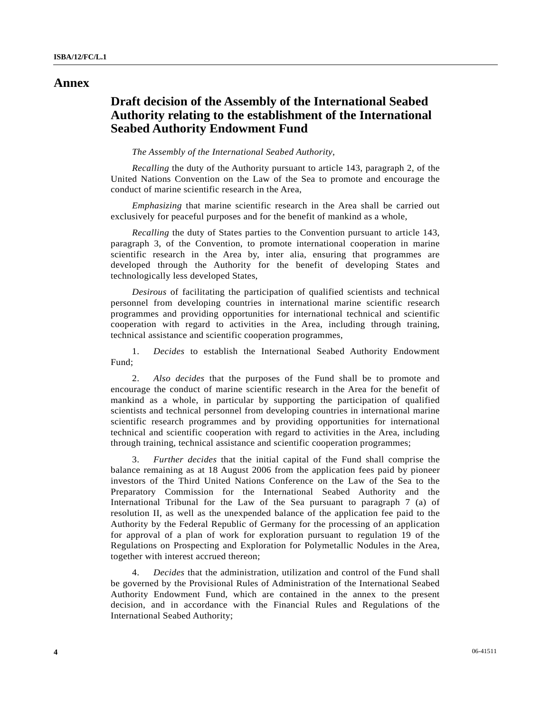### **Annex**

## **Draft decision of the Assembly of the International Seabed Authority relating to the establishment of the International Seabed Authority Endowment Fund**

### *The Assembly of the International Seabed Authority*,

*Recalling* the duty of the Authority pursuant to article 143, paragraph 2, of the United Nations Convention on the Law of the Sea to promote and encourage the conduct of marine scientific research in the Area,

*Emphasizing* that marine scientific research in the Area shall be carried out exclusively for peaceful purposes and for the benefit of mankind as a whole,

*Recalling* the duty of States parties to the Convention pursuant to article 143, paragraph 3, of the Convention, to promote international cooperation in marine scientific research in the Area by, inter alia, ensuring that programmes are developed through the Authority for the benefit of developing States and technologically less developed States,

*Desirous* of facilitating the participation of qualified scientists and technical personnel from developing countries in international marine scientific research programmes and providing opportunities for international technical and scientific cooperation with regard to activities in the Area, including through training, technical assistance and scientific cooperation programmes,

 1. *Decides* to establish the International Seabed Authority Endowment Fund;

 2. *Also decides* that the purposes of the Fund shall be to promote and encourage the conduct of marine scientific research in the Area for the benefit of mankind as a whole, in particular by supporting the participation of qualified scientists and technical personnel from developing countries in international marine scientific research programmes and by providing opportunities for international technical and scientific cooperation with regard to activities in the Area, including through training, technical assistance and scientific cooperation programmes;

 3. *Further decides* that the initial capital of the Fund shall comprise the balance remaining as at 18 August 2006 from the application fees paid by pioneer investors of the Third United Nations Conference on the Law of the Sea to the Preparatory Commission for the International Seabed Authority and the International Tribunal for the Law of the Sea pursuant to paragraph 7 (a) of resolution II, as well as the unexpended balance of the application fee paid to the Authority by the Federal Republic of Germany for the processing of an application for approval of a plan of work for exploration pursuant to regulation 19 of the Regulations on Prospecting and Exploration for Polymetallic Nodules in the Area, together with interest accrued thereon;

 4. *Decides* that the administration, utilization and control of the Fund shall be governed by the Provisional Rules of Administration of the International Seabed Authority Endowment Fund, which are contained in the annex to the present decision, and in accordance with the Financial Rules and Regulations of the International Seabed Authority;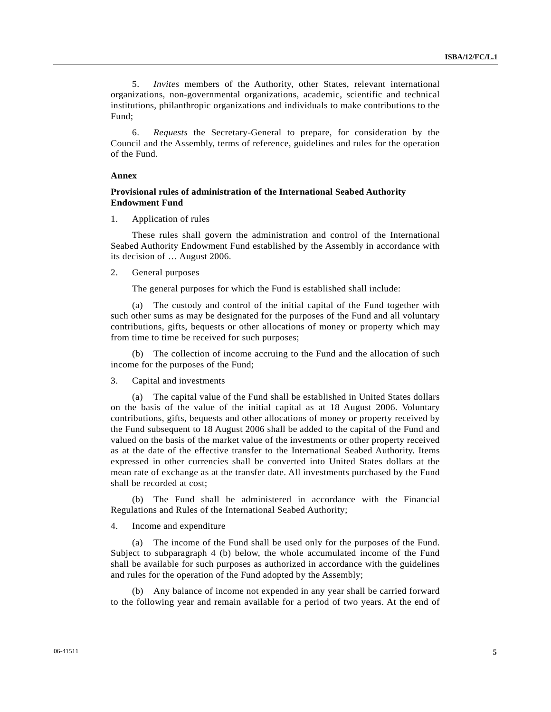5. *Invites* members of the Authority, other States, relevant international organizations, non-governmental organizations, academic, scientific and technical institutions, philanthropic organizations and individuals to make contributions to the Fund;

 6. *Requests* the Secretary-General to prepare, for consideration by the Council and the Assembly, terms of reference, guidelines and rules for the operation of the Fund.

#### **Annex**

### **Provisional rules of administration of the International Seabed Authority Endowment Fund**

1. Application of rules

 These rules shall govern the administration and control of the International Seabed Authority Endowment Fund established by the Assembly in accordance with its decision of … August 2006.

### 2. General purposes

The general purposes for which the Fund is established shall include:

 (a) The custody and control of the initial capital of the Fund together with such other sums as may be designated for the purposes of the Fund and all voluntary contributions, gifts, bequests or other allocations of money or property which may from time to time be received for such purposes;

 (b) The collection of income accruing to the Fund and the allocation of such income for the purposes of the Fund;

#### 3. Capital and investments

 (a) The capital value of the Fund shall be established in United States dollars on the basis of the value of the initial capital as at 18 August 2006. Voluntary contributions, gifts, bequests and other allocations of money or property received by the Fund subsequent to 18 August 2006 shall be added to the capital of the Fund and valued on the basis of the market value of the investments or other property received as at the date of the effective transfer to the International Seabed Authority. Items expressed in other currencies shall be converted into United States dollars at the mean rate of exchange as at the transfer date. All investments purchased by the Fund shall be recorded at cost;

 (b) The Fund shall be administered in accordance with the Financial Regulations and Rules of the International Seabed Authority;

4. Income and expenditure

 (a) The income of the Fund shall be used only for the purposes of the Fund. Subject to subparagraph 4 (b) below, the whole accumulated income of the Fund shall be available for such purposes as authorized in accordance with the guidelines and rules for the operation of the Fund adopted by the Assembly;

 (b) Any balance of income not expended in any year shall be carried forward to the following year and remain available for a period of two years. At the end of